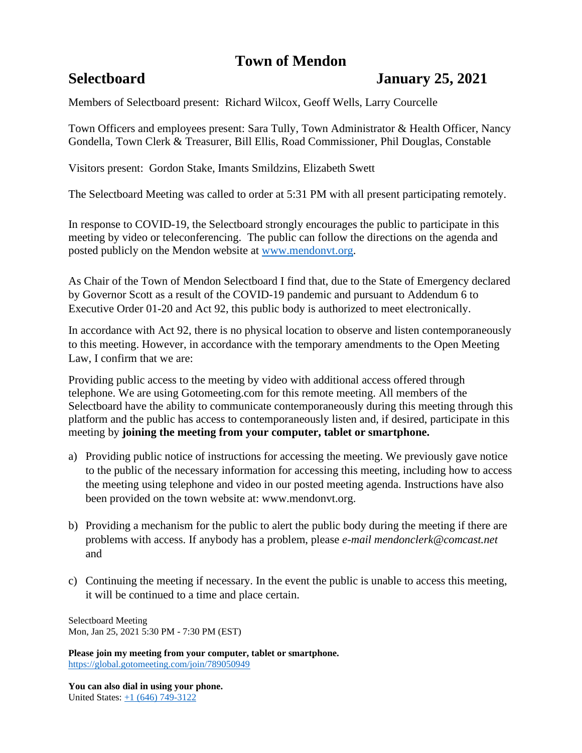# **Town of Mendon**

## **Selectboard January 25, 2021**

Members of Selectboard present: Richard Wilcox, Geoff Wells, Larry Courcelle

Town Officers and employees present: Sara Tully, Town Administrator & Health Officer, Nancy Gondella, Town Clerk & Treasurer, Bill Ellis, Road Commissioner, Phil Douglas, Constable

Visitors present: Gordon Stake, Imants Smildzins, Elizabeth Swett

The Selectboard Meeting was called to order at 5:31 PM with all present participating remotely.

In response to COVID-19, the Selectboard strongly encourages the public to participate in this meeting by video or teleconferencing. The public can follow the directions on the agenda and posted publicly on the Mendon website at [www.mendonvt.org.](http://www.mendonvt.org/)

As Chair of the Town of Mendon Selectboard I find that, due to the State of Emergency declared by Governor Scott as a result of the COVID-19 pandemic and pursuant to Addendum 6 to Executive Order 01-20 and Act 92, this public body is authorized to meet electronically.

In accordance with Act 92, there is no physical location to observe and listen contemporaneously to this meeting. However, in accordance with the temporary amendments to the Open Meeting Law, I confirm that we are:

Providing public access to the meeting by video with additional access offered through telephone. We are using Gotomeeting.com for this remote meeting. All members of the Selectboard have the ability to communicate contemporaneously during this meeting through this platform and the public has access to contemporaneously listen and, if desired, participate in this meeting by **joining the meeting from your computer, tablet or smartphone.** 

- a) Providing public notice of instructions for accessing the meeting. We previously gave notice to the public of the necessary information for accessing this meeting, including how to access the meeting using telephone and video in our posted meeting agenda. Instructions have also been provided on the town website at: www.mendonvt.org.
- b) Providing a mechanism for the public to alert the public body during the meeting if there are problems with access. If anybody has a problem, please *e-mail mendonclerk@comcast.net* and
- c) Continuing the meeting if necessary. In the event the public is unable to access this meeting, it will be continued to a time and place certain.

Selectboard Meeting Mon, Jan 25, 2021 5:30 PM - 7:30 PM (EST)

**Please join my meeting from your computer, tablet or smartphone.**  <https://global.gotomeeting.com/join/789050949>

**You can also dial in using your phone.** United States: [+1 \(646\) 749-3122](tel:+16467493122,,789050949)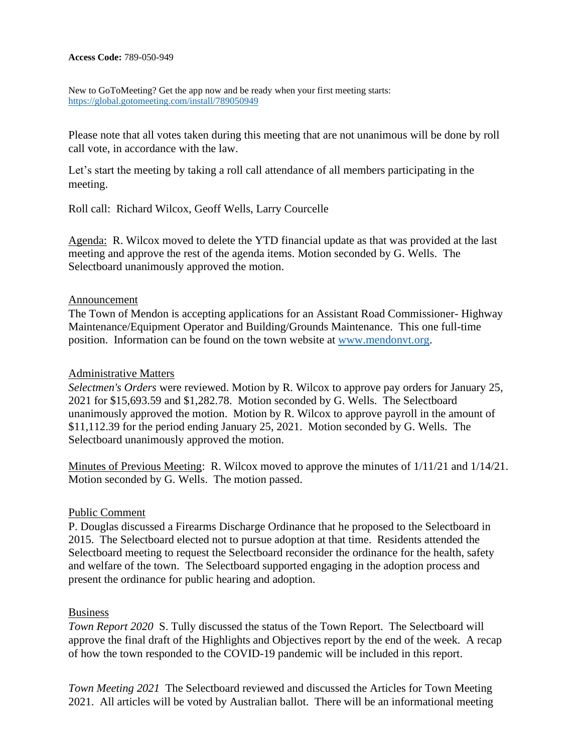#### **Access Code:** 789-050-949

New to GoToMeeting? Get the app now and be ready when your first meeting starts: <https://global.gotomeeting.com/install/789050949>

Please note that all votes taken during this meeting that are not unanimous will be done by roll call vote, in accordance with the law.

Let's start the meeting by taking a roll call attendance of all members participating in the meeting.

Roll call: Richard Wilcox, Geoff Wells, Larry Courcelle

Agenda: R. Wilcox moved to delete the YTD financial update as that was provided at the last meeting and approve the rest of the agenda items. Motion seconded by G. Wells. The Selectboard unanimously approved the motion.

## Announcement

The Town of Mendon is accepting applications for an Assistant Road Commissioner- Highway Maintenance/Equipment Operator and Building/Grounds Maintenance. This one full-time position. Information can be found on the town website at [www.mendonvt.org.](http://www.mendonvt.org/)

### Administrative Matters

*Selectmen's Orders* were reviewed. Motion by R. Wilcox to approve pay orders for January 25, 2021 for \$15,693.59 and \$1,282.78. Motion seconded by G. Wells. The Selectboard unanimously approved the motion. Motion by R. Wilcox to approve payroll in the amount of \$11,112.39 for the period ending January 25, 2021. Motion seconded by G. Wells. The Selectboard unanimously approved the motion.

Minutes of Previous Meeting: R. Wilcox moved to approve the minutes of 1/11/21 and 1/14/21. Motion seconded by G. Wells. The motion passed.

#### Public Comment

P. Douglas discussed a Firearms Discharge Ordinance that he proposed to the Selectboard in 2015. The Selectboard elected not to pursue adoption at that time. Residents attended the Selectboard meeting to request the Selectboard reconsider the ordinance for the health, safety and welfare of the town. The Selectboard supported engaging in the adoption process and present the ordinance for public hearing and adoption.

#### Business

*Town Report 2020* S. Tully discussed the status of the Town Report. The Selectboard will approve the final draft of the Highlights and Objectives report by the end of the week. A recap of how the town responded to the COVID-19 pandemic will be included in this report.

*Town Meeting 2021* The Selectboard reviewed and discussed the Articles for Town Meeting 2021. All articles will be voted by Australian ballot. There will be an informational meeting